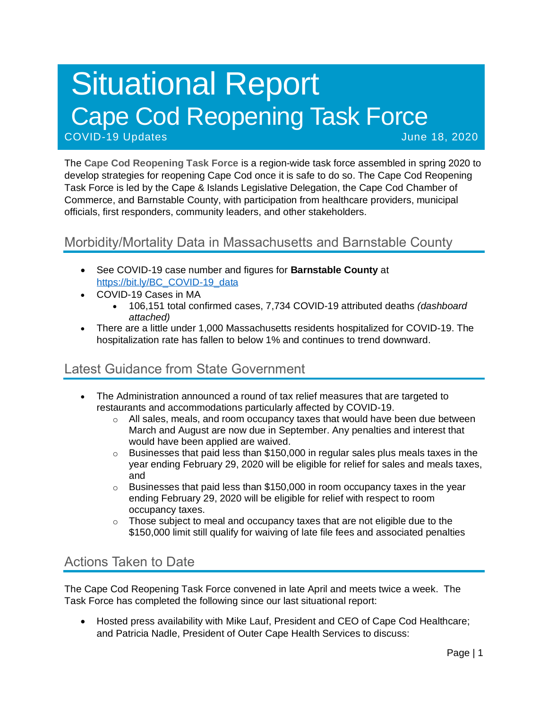# Situational Report Cape Cod Reopening Task Force COVID-19 Updates June 18, 2020

The **Cape Cod Reopening Task Force** is a region-wide task force assembled in spring 2020 to develop strategies for reopening Cape Cod once it is safe to do so. The Cape Cod Reopening Task Force is led by the Cape & Islands Legislative Delegation, the Cape Cod Chamber of Commerce, and Barnstable County, with participation from healthcare providers, municipal officials, first responders, community leaders, and other stakeholders.

# Morbidity/Mortality Data in Massachusetts and Barnstable County

- See COVID-19 case number and figures for **Barnstable County** at [https://bit.ly/BC\\_COVID-19\\_data](https://bit.ly/BC_COVID-19_data)
- COVID-19 Cases in MA
	- 106,151 total confirmed cases, 7,734 COVID-19 attributed deaths *(dashboard attached)*
- There are a little under 1,000 Massachusetts residents hospitalized for COVID-19. The hospitalization rate has fallen to below 1% and continues to trend downward.

# Latest Guidance from State Government

- The Administration announced a round of tax relief measures that are targeted to restaurants and accommodations particularly affected by COVID-19.
	- $\circ$  All sales, meals, and room occupancy taxes that would have been due between March and August are now due in September. Any penalties and interest that would have been applied are waived.
	- $\circ$  Businesses that paid less than \$150,000 in regular sales plus meals taxes in the year ending February 29, 2020 will be eligible for relief for sales and meals taxes, and
	- $\circ$  Businesses that paid less than \$150,000 in room occupancy taxes in the year ending February 29, 2020 will be eligible for relief with respect to room occupancy taxes.
	- $\circ$  Those subject to meal and occupancy taxes that are not eligible due to the \$150,000 limit still qualify for waiving of late file fees and associated penalties

### Actions Taken to Date

The Cape Cod Reopening Task Force convened in late April and meets twice a week. The Task Force has completed the following since our last situational report:

• Hosted press availability with Mike Lauf, President and CEO of Cape Cod Healthcare; and Patricia Nadle, President of Outer Cape Health Services to discuss: